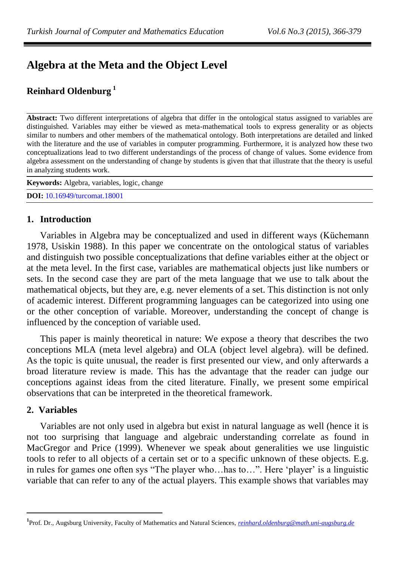# **Algebra at the Meta and the Object Level**

# **Reinhard Oldenburg <sup>1</sup>**

**Abstract:** Two different interpretations of algebra that differ in the ontological status assigned to variables are distinguished. Variables may either be viewed as meta-mathematical tools to express generality or as objects similar to numbers and other members of the mathematical ontology. Both interpretations are detailed and linked with the literature and the use of variables in computer programming. Furthermore, it is analyzed how these two conceptualizations lead to two different understandings of the process of change of values. Some evidence from algebra assessment on the understanding of change by students is given that that illustrate that the theory is useful in analyzing students work.

| <b>Keywords:</b> Algebra, variables, logic, change |  |
|----------------------------------------------------|--|
| <b>DOI:</b> 10.16949/turcomat.18001                |  |

## **1. Introduction**

Variables in Algebra may be conceptualized and used in different ways (Küchemann 1978, Usiskin 1988). In this paper we concentrate on the ontological status of variables and distinguish two possible conceptualizations that define variables either at the object or at the meta level. In the first case, variables are mathematical objects just like numbers or sets. In the second case they are part of the meta language that we use to talk about the mathematical objects, but they are, e.g. never elements of a set. This distinction is not only of academic interest. Different programming languages can be categorized into using one or the other conception of variable. Moreover, understanding the concept of change is influenced by the conception of variable used.

This paper is mainly theoretical in nature: We expose a theory that describes the two conceptions MLA (meta level algebra) and OLA (object level algebra). will be defined. As the topic is quite unusual, the reader is first presented our view, and only afterwards a broad literature review is made. This has the advantage that the reader can judge our conceptions against ideas from the cited literature. Finally, we present some empirical observations that can be interpreted in the theoretical framework.

## **2. Variables**

 $\overline{a}$ 

Variables are not only used in algebra but exist in natural language as well (hence it is not too surprising that language and algebraic understanding correlate as found in MacGregor and Price (1999). Whenever we speak about generalities we use linguistic tools to refer to all objects of a certain set or to a specific unknown of these objects. E.g. in rules for games one often sys "The player who…has to…". Here 'player' is a linguistic variable that can refer to any of the actual players. This example shows that variables may

**<sup>1</sup>** Prof. Dr., Augsburg University, Faculty of Mathematics and Natural Sciences, *[reinhard.oldenburg@math.uni-augsburg.de](mailto:reinhard.oldenburg@math.uni-augsburg.de)*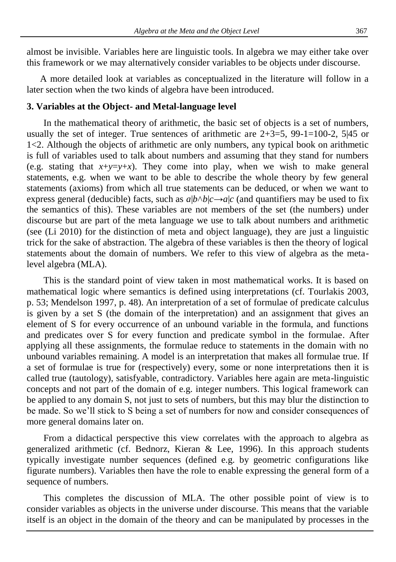almost be invisible. Variables here are linguistic tools. In algebra we may either take over this framework or we may alternatively consider variables to be objects under discourse.

A more detailed look at variables as conceptualized in the literature will follow in a later section when the two kinds of algebra have been introduced.

#### **3. Variables at the Object- and Metal-language level**

In the mathematical theory of arithmetic, the basic set of objects is a set of numbers, usually the set of integer. True sentences of arithmetic are  $2+3=5$ ,  $99-1=100-2$ ,  $5|45$  or 1<2. Although the objects of arithmetic are only numbers, any typical book on arithmetic is full of variables used to talk about numbers and assuming that they stand for numbers (e.g. stating that  $x+y=y+x$ ). They come into play, when we wish to make general statements, e.g. when we want to be able to describe the whole theory by few general statements (axioms) from which all true statements can be deduced, or when we want to express general (deducible) facts, such as  $a|b \wedge b|c \rightarrow a|c$  (and quantifiers may be used to fix the semantics of this). These variables are not members of the set (the numbers) under discourse but are part of the meta language we use to talk about numbers and arithmetic (see (Li 2010) for the distinction of meta and object language), they are just a linguistic trick for the sake of abstraction. The algebra of these variables is then the theory of logical statements about the domain of numbers. We refer to this view of algebra as the metalevel algebra (MLA).

This is the standard point of view taken in most mathematical works. It is based on mathematical logic where semantics is defined using interpretations (cf. Tourlakis 2003, p. 53; Mendelson 1997, p. 48). An interpretation of a set of formulae of predicate calculus is given by a set S (the domain of the interpretation) and an assignment that gives an element of S for every occurrence of an unbound variable in the formula, and functions and predicates over S for every function and predicate symbol in the formulae. After applying all these assignments, the formulae reduce to statements in the domain with no unbound variables remaining. A model is an interpretation that makes all formulae true. If a set of formulae is true for (respectively) every, some or none interpretations then it is called true (tautology), satisfyable, contradictory. Variables here again are meta-linguistic concepts and not part of the domain of e.g. integer numbers. This logical framework can be applied to any domain S, not just to sets of numbers, but this may blur the distinction to be made. So we'll stick to S being a set of numbers for now and consider consequences of more general domains later on.

From a didactical perspective this view correlates with the approach to algebra as generalized arithmetic (cf. Bednorz, Kieran & Lee, 1996). In this approach students typically investigate number sequences (defined e.g. by geometric configurations like figurate numbers). Variables then have the role to enable expressing the general form of a sequence of numbers.

This completes the discussion of MLA. The other possible point of view is to consider variables as objects in the universe under discourse. This means that the variable itself is an object in the domain of the theory and can be manipulated by processes in the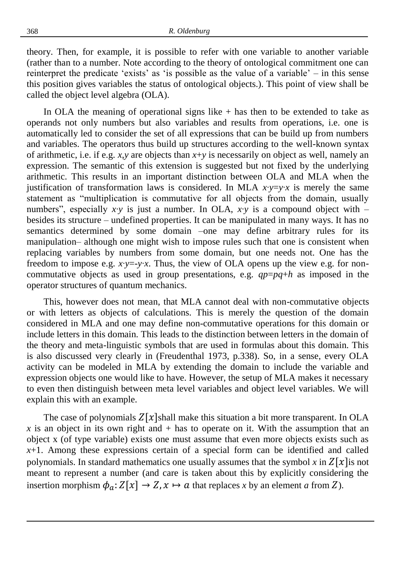theory. Then, for example, it is possible to refer with one variable to another variable (rather than to a number. Note according to the theory of ontological commitment one can reinterpret the predicate 'exists' as 'is possible as the value of a variable' – in this sense this position gives variables the status of ontological objects.). This point of view shall be called the object level algebra (OLA).

In OLA the meaning of operational signs like  $+$  has then to be extended to take as operands not only numbers but also variables and results from operations, i.e. one is automatically led to consider the set of all expressions that can be build up from numbers and variables. The operators thus build up structures according to the well-known syntax of arithmetic, i.e. if e.g. *x*,*y* are objects than *x*+*y* is necessarily on object as well, namely an expression. The semantic of this extension is suggested but not fixed by the underlying arithmetic. This results in an important distinction between OLA and MLA when the justification of transformation laws is considered. In MLA  $x \cdot y = y \cdot x$  is merely the same statement as "multiplication is commutative for all objects from the domain, usually numbers", especially *x*⋅*y* is just a number. In OLA, *x*⋅*y* is a compound object with – besides its structure – undefined properties. It can be manipulated in many ways. It has no semantics determined by some domain –one may define arbitrary rules for its manipulation– although one might wish to impose rules such that one is consistent when replacing variables by numbers from some domain, but one needs not. One has the freedom to impose e.g. *x*∙*y*=-*y*∙*x*. Thus, the view of OLA opens up the view e.g. for noncommutative objects as used in group presentations, e.g. *qp*=*pq*+*h* as imposed in the operator structures of quantum mechanics.

This, however does not mean, that MLA cannot deal with non-commutative objects or with letters as objects of calculations. This is merely the question of the domain considered in MLA and one may define non-commutative operations for this domain or include letters in this domain. This leads to the distinction between letters in the domain of the theory and meta-linguistic symbols that are used in formulas about this domain. This is also discussed very clearly in (Freudenthal 1973, p.338). So, in a sense, every OLA activity can be modeled in MLA by extending the domain to include the variable and expression objects one would like to have. However, the setup of MLA makes it necessary to even then distinguish between meta level variables and object level variables. We will explain this with an example.

The case of polynomials  $Z[x]$ shall make this situation a bit more transparent. In OLA *x* is an object in its own right and  $+$  has to operate on it. With the assumption that an object x (of type variable) exists one must assume that even more objects exists such as *x*+1. Among these expressions certain of a special form can be identified and called polynomials. In standard mathematics one usually assumes that the symbol x in  $Z[x]$ is not meant to represent a number (and care is taken about this by explicitly considering the insertion morphism  $\phi_a: Z[x] \to Z, x \mapsto a$  that replaces x by an element a from Z).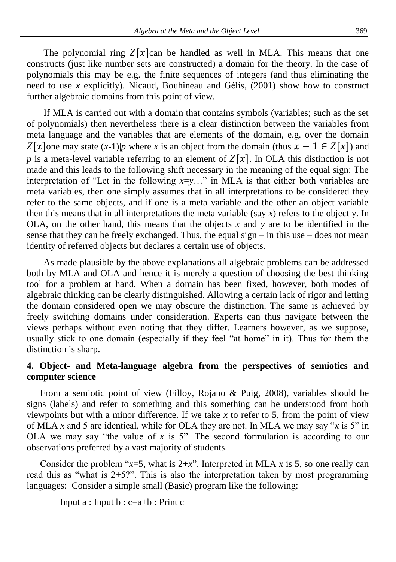The polynomial ring  $Z[x]$ can be handled as well in MLA. This means that one constructs (just like number sets are constructed) a domain for the theory. In the case of polynomials this may be e.g. the finite sequences of integers (and thus eliminating the need to use *x* explicitly). Nicaud, Bouhineau and Gélis, (2001) show how to construct further algebraic domains from this point of view.

If MLA is carried out with a domain that contains symbols (variables; such as the set of polynomials) then nevertheless there is a clear distinction between the variables from meta language and the variables that are elements of the domain, e.g. over the domain  $Z[\chi]$ one may state  $(x-1)|p$  where x is an object from the domain (thus  $x-1 \in Z[\chi]$ ) and *p* is a meta-level variable referring to an element of  $Z[x]$ . In OLA this distinction is not made and this leads to the following shift necessary in the meaning of the equal sign: The interpretation of "Let in the following *x*=*y*…" in MLA is that either both variables are meta variables, then one simply assumes that in all interpretations to be considered they refer to the same objects, and if one is a meta variable and the other an object variable then this means that in all interpretations the meta variable (say *x*) refers to the object y. In OLA, on the other hand, this means that the objects  $x$  and  $y$  are to be identified in the sense that they can be freely exchanged. Thus, the equal sign  $-$  in this use  $-$  does not mean identity of referred objects but declares a certain use of objects.

As made plausible by the above explanations all algebraic problems can be addressed both by MLA and OLA and hence it is merely a question of choosing the best thinking tool for a problem at hand. When a domain has been fixed, however, both modes of algebraic thinking can be clearly distinguished. Allowing a certain lack of rigor and letting the domain considered open we may obscure the distinction. The same is achieved by freely switching domains under consideration. Experts can thus navigate between the views perhaps without even noting that they differ. Learners however, as we suppose, usually stick to one domain (especially if they feel "at home" in it). Thus for them the distinction is sharp.

# **4. Object- and Meta-language algebra from the perspectives of semiotics and computer science**

From a semiotic point of view (Filloy, Rojano & Puig, 2008), variables should be signs (labels) and refer to something and this something can be understood from both viewpoints but with a minor difference. If we take *x* to refer to 5, from the point of view of MLA *x* and 5 are identical, while for OLA they are not. In MLA we may say "*x* is 5" in OLA we may say "the value of *x* is 5". The second formulation is according to our observations preferred by a vast majority of students.

Consider the problem " $x=5$ , what is  $2+x$ ". Interpreted in MLA x is 5, so one really can read this as "what is  $2+5$ ?". This is also the interpretation taken by most programming languages: Consider a simple small (Basic) program like the following:

Input a : Input  $b : c=a+b :$  Print c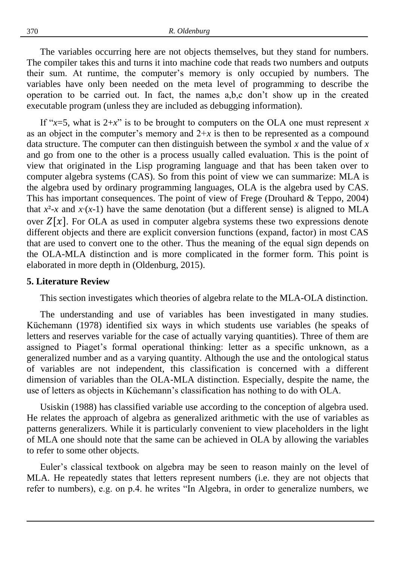The variables occurring here are not objects themselves, but they stand for numbers. The compiler takes this and turns it into machine code that reads two numbers and outputs their sum. At runtime, the computer's memory is only occupied by numbers. The variables have only been needed on the meta level of programming to describe the operation to be carried out. In fact, the names a,b,c don't show up in the created executable program (unless they are included as debugging information).

If " $x=5$ , what is  $2+x$ " is to be brought to computers on the OLA one must represent x as an object in the computer's memory and  $2+x$  is then to be represented as a compound data structure. The computer can then distinguish between the symbol *x* and the value of *x* and go from one to the other is a process usually called evaluation. This is the point of view that originated in the Lisp programing language and that has been taken over to computer algebra systems (CAS). So from this point of view we can summarize: MLA is the algebra used by ordinary programming languages, OLA is the algebra used by CAS. This has important consequences. The point of view of Frege (Drouhard & Teppo, 2004) that  $x^2$ -*x* and  $x(x-1)$  have the same denotation (but a different sense) is aligned to MLA over  $Z[x]$ . For OLA as used in computer algebra systems these two expressions denote different objects and there are explicit conversion functions (expand, factor) in most CAS that are used to convert one to the other. Thus the meaning of the equal sign depends on the OLA-MLA distinction and is more complicated in the former form. This point is elaborated in more depth in (Oldenburg, 2015).

#### **5. Literature Review**

This section investigates which theories of algebra relate to the MLA-OLA distinction.

The understanding and use of variables has been investigated in many studies. Küchemann (1978) identified six ways in which students use variables (he speaks of letters and reserves variable for the case of actually varying quantities). Three of them are assigned to Piaget's formal operational thinking: letter as a specific unknown, as a generalized number and as a varying quantity. Although the use and the ontological status of variables are not independent, this classification is concerned with a different dimension of variables than the OLA-MLA distinction. Especially, despite the name, the use of letters as objects in Küchemann's classification has nothing to do with OLA.

Usiskin (1988) has classified variable use according to the conception of algebra used. He relates the approach of algebra as generalized arithmetic with the use of variables as patterns generalizers. While it is particularly convenient to view placeholders in the light of MLA one should note that the same can be achieved in OLA by allowing the variables to refer to some other objects.

Euler's classical textbook on algebra may be seen to reason mainly on the level of MLA. He repeatedly states that letters represent numbers (i.e. they are not objects that refer to numbers), e.g. on p.4. he writes "In Algebra, in order to generalize numbers, we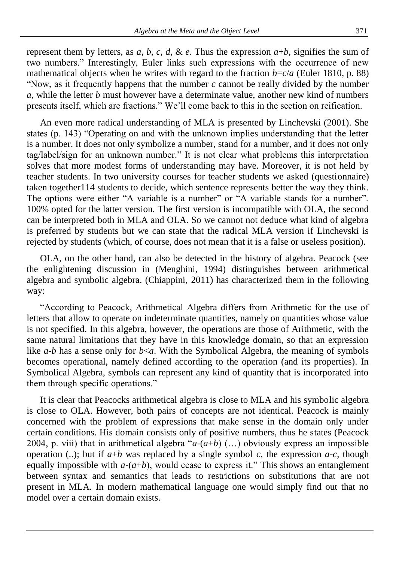represent them by letters, as *a*, *b*, *c*, *d*, & *e*. Thus the expression  $a+b$ , signifies the sum of two numbers." Interestingly, Euler links such expressions with the occurrence of new mathematical objects when he writes with regard to the fraction  $b=c/a$  (Euler 1810, p. 88) "Now, as it frequently happens that the number *c* cannot be really divided by the number *a*, while the letter *b* must however have a determinate value, another new kind of numbers presents itself, which are fractions." We'll come back to this in the section on reification.

An even more radical understanding of MLA is presented by Linchevski (2001). She states (p. 143) "Operating on and with the unknown implies understanding that the letter is a number. It does not only symbolize a number, stand for a number, and it does not only tag/label/sign for an unknown number." It is not clear what problems this interpretation solves that more modest forms of understanding may have. Moreover, it is not held by teacher students. In two university courses for teacher students we asked (questionnaire) taken together114 students to decide, which sentence represents better the way they think. The options were either "A variable is a number" or "A variable stands for a number". 100% opted for the latter version. The first version is incompatible with OLA, the second can be interpreted both in MLA and OLA. So we cannot not deduce what kind of algebra is preferred by students but we can state that the radical MLA version if Linchevski is rejected by students (which, of course, does not mean that it is a false or useless position).

OLA, on the other hand, can also be detected in the history of algebra. Peacock (see the enlightening discussion in (Menghini, 1994) distinguishes between arithmetical algebra and symbolic algebra. (Chiappini, 2011) has characterized them in the following way:

"According to Peacock, Arithmetical Algebra differs from Arithmetic for the use of letters that allow to operate on indeterminate quantities, namely on quantities whose value is not specified. In this algebra, however, the operations are those of Arithmetic, with the same natural limitations that they have in this knowledge domain, so that an expression like *a-b* has a sense only for  $b \lt a$ . With the Symbolical Algebra, the meaning of symbols becomes operational, namely defined according to the operation (and its properties). In Symbolical Algebra, symbols can represent any kind of quantity that is incorporated into them through specific operations."

It is clear that Peacocks arithmetical algebra is close to MLA and his symbolic algebra is close to OLA. However, both pairs of concepts are not identical. Peacock is mainly concerned with the problem of expressions that make sense in the domain only under certain conditions. His domain consists only of positive numbers, thus he states (Peacock 2004, p. viii) that in arithmetical algebra " $a-(a+b)$  (...) obviously express an impossible operation (..); but if  $a+b$  was replaced by a single symbol c, the expression  $a-c$ , though equally impossible with  $a-(a+b)$ , would cease to express it." This shows an entanglement between syntax and semantics that leads to restrictions on substitutions that are not present in MLA. In modern mathematical language one would simply find out that no model over a certain domain exists.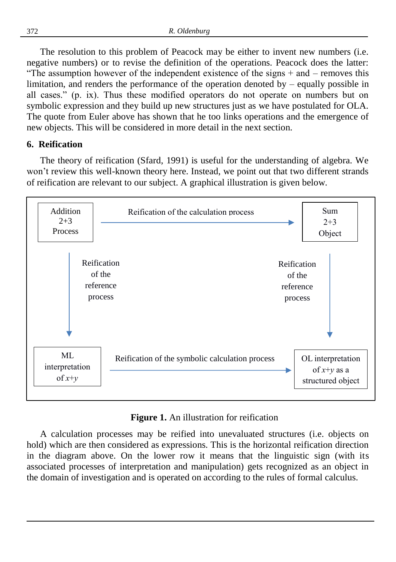The resolution to this problem of Peacock may be either to invent new numbers (i.e. negative numbers) or to revise the definition of the operations. Peacock does the latter: "The assumption however of the independent existence of the signs  $+$  and  $-$  removes this limitation, and renders the performance of the operation denoted by – equally possible in all cases." (p. ix). Thus these modified operators do not operate on numbers but on symbolic expression and they build up new structures just as we have postulated for OLA. The quote from Euler above has shown that he too links operations and the emergence of new objects. This will be considered in more detail in the next section.

#### **6. Reification**

The theory of reification (Sfard, 1991) is useful for the understanding of algebra. We won't review this well-known theory here. Instead, we point out that two different strands of reification are relevant to our subject. A graphical illustration is given below.



**Figure 1.** An illustration for reification

A calculation processes may be reified into unevaluated structures (i.e. objects on hold) which are then considered as expressions. This is the horizontal reification direction in the diagram above. On the lower row it means that the linguistic sign (with its associated processes of interpretation and manipulation) gets recognized as an object in the domain of investigation and is operated on according to the rules of formal calculus.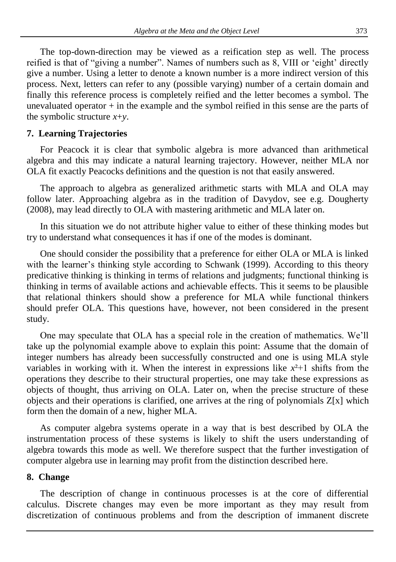The top-down-direction may be viewed as a reification step as well. The process reified is that of "giving a number". Names of numbers such as 8, VIII or 'eight' directly give a number. Using a letter to denote a known number is a more indirect version of this process. Next, letters can refer to any (possible varying) number of a certain domain and finally this reference process is completely reified and the letter becomes a symbol. The unevaluated operator  $+$  in the example and the symbol reified in this sense are the parts of the symbolic structure *x*+*y*.

## **7. Learning Trajectories**

For Peacock it is clear that symbolic algebra is more advanced than arithmetical algebra and this may indicate a natural learning trajectory. However, neither MLA nor OLA fit exactly Peacocks definitions and the question is not that easily answered.

The approach to algebra as generalized arithmetic starts with MLA and OLA may follow later. Approaching algebra as in the tradition of Davydov, see e.g. Dougherty (2008), may lead directly to OLA with mastering arithmetic and MLA later on.

In this situation we do not attribute higher value to either of these thinking modes but try to understand what consequences it has if one of the modes is dominant.

One should consider the possibility that a preference for either OLA or MLA is linked with the learner's thinking style according to Schwank (1999). According to this theory predicative thinking is thinking in terms of relations and judgments; functional thinking is thinking in terms of available actions and achievable effects. This it seems to be plausible that relational thinkers should show a preference for MLA while functional thinkers should prefer OLA. This questions have, however, not been considered in the present study.

One may speculate that OLA has a special role in the creation of mathematics. We'll take up the polynomial example above to explain this point: Assume that the domain of integer numbers has already been successfully constructed and one is using MLA style variables in working with it. When the interest in expressions like  $x^{2+1}$  shifts from the operations they describe to their structural properties, one may take these expressions as objects of thought, thus arriving on OLA. Later on, when the precise structure of these objects and their operations is clarified, one arrives at the ring of polynomials  $Z[x]$  which form then the domain of a new, higher MLA.

As computer algebra systems operate in a way that is best described by OLA the instrumentation process of these systems is likely to shift the users understanding of algebra towards this mode as well. We therefore suspect that the further investigation of computer algebra use in learning may profit from the distinction described here.

#### **8. Change**

The description of change in continuous processes is at the core of differential calculus. Discrete changes may even be more important as they may result from discretization of continuous problems and from the description of immanent discrete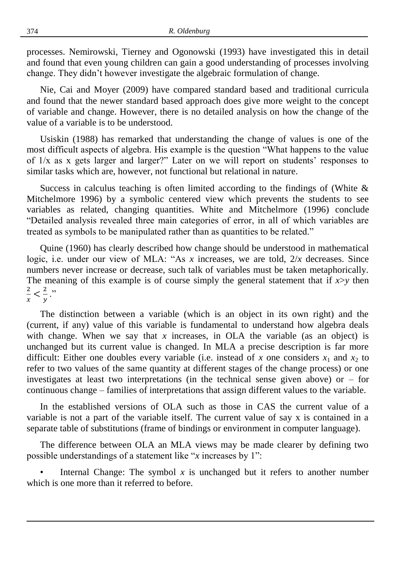processes. Nemirowski, Tierney and Ogonowski (1993) have investigated this in detail and found that even young children can gain a good understanding of processes involving change. They didn't however investigate the algebraic formulation of change.

Nie, Cai and Moyer (2009) have compared standard based and traditional curricula and found that the newer standard based approach does give more weight to the concept of variable and change. However, there is no detailed analysis on how the change of the value of a variable is to be understood.

Usiskin (1988) has remarked that understanding the change of values is one of the most difficult aspects of algebra. His example is the question "What happens to the value of 1/x as x gets larger and larger?" Later on we will report on students' responses to similar tasks which are, however, not functional but relational in nature.

Success in calculus teaching is often limited according to the findings of (White  $\&$ Mitchelmore 1996) by a symbolic centered view which prevents the students to see variables as related, changing quantities. White and Mitchelmore (1996) conclude "Detailed analysis revealed three main categories of error, in all of which variables are treated as symbols to be manipulated rather than as quantities to be related."

Quine (1960) has clearly described how change should be understood in mathematical logic, i.e. under our view of MLA: "As *x* increases, we are told, 2/*x* decreases. Since numbers never increase or decrease, such talk of variables must be taken metaphorically. The meaning of this example is of course simply the general statement that if  $x>y$  then 2  $\frac{2}{x} < \frac{2}{y}$  $\frac{2}{y}$ ."

The distinction between a variable (which is an object in its own right) and the (current, if any) value of this variable is fundamental to understand how algebra deals with change. When we say that  $x$  increases, in OLA the variable (as an object) is unchanged but its current value is changed. In MLA a precise description is far more difficult: Either one doubles every variable (i.e. instead of *x* one considers  $x_1$  and  $x_2$  to refer to two values of the same quantity at different stages of the change process) or one investigates at least two interpretations (in the technical sense given above) or  $-$  for continuous change – families of interpretations that assign different values to the variable.

In the established versions of OLA such as those in CAS the current value of a variable is not a part of the variable itself. The current value of say x is contained in a separate table of substitutions (frame of bindings or environment in computer language).

The difference between OLA an MLA views may be made clearer by defining two possible understandings of a statement like "*x* increases by 1":

Internal Change: The symbol  $x$  is unchanged but it refers to another number which is one more than it referred to before.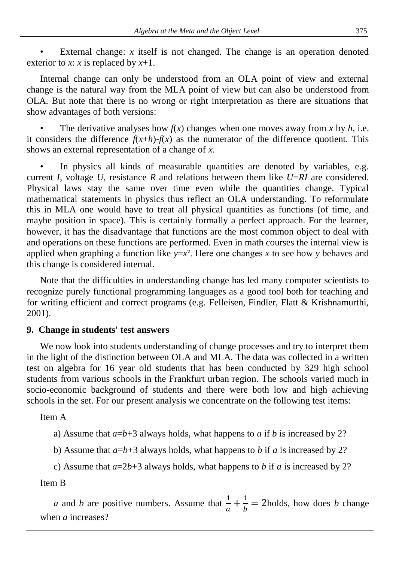• External change: *x* itself is not changed. The change is an operation denoted exterior to *x*: *x* is replaced by *x*+1.

Internal change can only be understood from an OLA point of view and external change is the natural way from the MLA point of view but can also be understood from OLA. But note that there is no wrong or right interpretation as there are situations that show advantages of both versions:

The derivative analyses how  $f(x)$  changes when one moves away from x by  $h$ , i.e. it considers the difference  $f(x+h)$ - $f(x)$  as the numerator of the difference quotient. This shows an external representation of a change of *x*.

In physics all kinds of measurable quantities are denoted by variables, e.g. current *I*, voltage *U*, resistance *R* and relations between them like *U*=*RI* are considered. Physical laws stay the same over time even while the quantities change. Typical mathematical statements in physics thus reflect an OLA understanding. To reformulate this in MLA one would have to treat all physical quantities as functions (of time, and maybe position in space). This is certainly formally a perfect approach. For the learner, however, it has the disadvantage that functions are the most common object to deal with and operations on these functions are performed. Even in math courses the internal view is applied when graphing a function like  $y=x^2$ . Here one changes x to see how y behaves and this change is considered internal.

Note that the difficulties in understanding change has led many computer scientists to recognize purely functional programming languages as a good tool both for teaching and for writing efficient and correct programs (e.g. Felleisen, Findler, Flatt & Krishnamurthi, 2001).

# **9. Change in students' test answers**

We now look into students understanding of change processes and try to interpret them in the light of the distinction between OLA and MLA. The data was collected in a written test on algebra for 16 year old students that has been conducted by 329 high school students from various schools in the Frankfurt urban region. The schools varied much in socio-economic background of students and there were both low and high achieving schools in the set. For our present analysis we concentrate on the following test items:

Item A

- a) Assume that  $a=b+3$  always holds, what happens to *a* if *b* is increased by 2?
- b) Assume that  $a=b+3$  always holds, what happens to *b* if *a* is increased by 2?
- c) Assume that  $a=2b+3$  always holds, what happens to b if a is increased by 2?

Item B

*a* and *b* are positive numbers. Assume that  $\frac{1}{a} + \frac{1}{b}$  $\frac{1}{b}$  = 2holds, how does *b* change when *a* increases?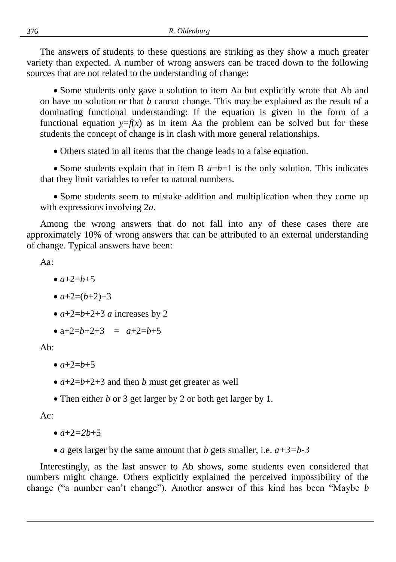The answers of students to these questions are striking as they show a much greater variety than expected. A number of wrong answers can be traced down to the following sources that are not related to the understanding of change:

 Some students only gave a solution to item Aa but explicitly wrote that Ab and on have no solution or that *b* cannot change. This may be explained as the result of a dominating functional understanding: If the equation is given in the form of a functional equation  $y=f(x)$  as in item Aa the problem can be solved but for these students the concept of change is in clash with more general relationships.

Others stated in all items that the change leads to a false equation.

• Some students explain that in item B  $a=b=1$  is the only solution. This indicates that they limit variables to refer to natural numbers.

 Some students seem to mistake addition and multiplication when they come up with expressions involving 2*a*.

Among the wrong answers that do not fall into any of these cases there are approximately 10% of wrong answers that can be attributed to an external understanding of change. Typical answers have been:

Aa:

- $a + 2 = b + 5$
- $\bullet$   $a+2=(b+2)+3$
- $a+2=b+2+3$  *a* increases by 2
- $\bullet$  a+2=*b*+2+3 =  $a+2=b+5$

Ab:

- $a + 2 = b + 5$
- $a+2=b+2+3$  and then *b* must get greater as well
- Then either *b* or 3 get larger by 2 or both get larger by 1.

 $A_{\mathcal{C}}$ 

 $a + 2 = 2b + 5$ 

*a* gets larger by the same amount that *b* gets smaller, i.e. *a+3=b-3*

Interestingly, as the last answer to Ab shows, some students even considered that numbers might change. Others explicitly explained the perceived impossibility of the change ("a number can't change"). Another answer of this kind has been "Maybe *b*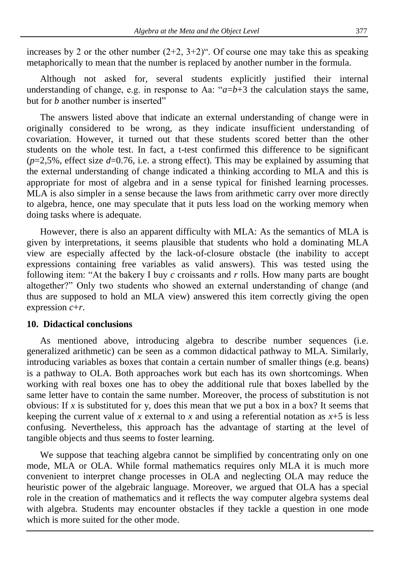increases by 2 or the other number  $(2+2, 3+2)$ ". Of course one may take this as speaking metaphorically to mean that the number is replaced by another number in the formula.

Although not asked for, several students explicitly justified their internal understanding of change, e.g. in response to Aa:  $a=b+3$  the calculation stays the same, but for *b* another number is inserted"

The answers listed above that indicate an external understanding of change were in originally considered to be wrong, as they indicate insufficient understanding of covariation. However, it turned out that these students scored better than the other students on the whole test. In fact, a t-test confirmed this difference to be significant  $(p=2.5\%$ , effect size  $d=0.76$ , i.e. a strong effect). This may be explained by assuming that the external understanding of change indicated a thinking according to MLA and this is appropriate for most of algebra and in a sense typical for finished learning processes. MLA is also simpler in a sense because the laws from arithmetic carry over more directly to algebra, hence, one may speculate that it puts less load on the working memory when doing tasks where is adequate.

However, there is also an apparent difficulty with MLA: As the semantics of MLA is given by interpretations, it seems plausible that students who hold a dominating MLA view are especially affected by the lack-of-closure obstacle (the inability to accept expressions containing free variables as valid answers). This was tested using the following item: "At the bakery I buy *c* croissants and *r* rolls. How many parts are bought altogether?" Only two students who showed an external understanding of change (and thus are supposed to hold an MLA view) answered this item correctly giving the open expression *c*+*r*.

## **10. Didactical conclusions**

As mentioned above, introducing algebra to describe number sequences (i.e. generalized arithmetic) can be seen as a common didactical pathway to MLA. Similarly, introducing variables as boxes that contain a certain number of smaller things (e.g. beans) is a pathway to OLA. Both approaches work but each has its own shortcomings. When working with real boxes one has to obey the additional rule that boxes labelled by the same letter have to contain the same number. Moreover, the process of substitution is not obvious: If x is substituted for y, does this mean that we put a box in a box? It seems that keeping the current value of *x* external to *x* and using a referential notation as  $x+5$  is less confusing. Nevertheless, this approach has the advantage of starting at the level of tangible objects and thus seems to foster learning.

We suppose that teaching algebra cannot be simplified by concentrating only on one mode, MLA or OLA. While formal mathematics requires only MLA it is much more convenient to interpret change processes in OLA and neglecting OLA may reduce the heuristic power of the algebraic language. Moreover, we argued that OLA has a special role in the creation of mathematics and it reflects the way computer algebra systems deal with algebra. Students may encounter obstacles if they tackle a question in one mode which is more suited for the other mode.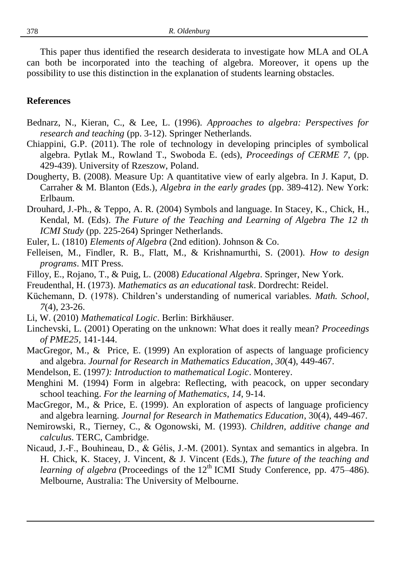This paper thus identified the research desiderata to investigate how MLA and OLA can both be incorporated into the teaching of algebra. Moreover, it opens up the possibility to use this distinction in the explanation of students learning obstacles.

#### **References**

- Bednarz, N., Kieran, C., & Lee, L. (1996). *Approaches to algebra: Perspectives for research and teaching* (pp. 3-12). Springer Netherlands.
- Chiappini, G.P. (2011). The role of technology in developing principles of symbolical algebra. Pytlak M., Rowland T., Swoboda E. (eds), *Proceedings of CERME 7*, (pp. 429-439). University of Rzeszow, Poland.
- Dougherty, B. (2008). Measure Up: A quantitative view of early algebra. In J. Kaput, D. Carraher & M. Blanton (Eds.), *Algebra in the early grades* (pp. 389-412). New York: Erlbaum.
- Drouhard, J.-Ph., & Teppo, A. R. (2004) Symbols and language. In Stacey, K., Chick, H., Kendal, M. (Eds). *The Future of the Teaching and Learning of Algebra The 12 th ICMI Study* (pp. 225-264) Springer Netherlands.
- Euler, L. (1810) *Elements of Algebra* (2nd edition). Johnson & Co.
- Felleisen, M., Findler, R. B., Flatt, M., & Krishnamurthi, S. (2001). *How to design programs*. MIT Press.
- Filloy, E., Rojano, T., & Puig, L. (2008) *Educational Algebra*. Springer, New York.
- Freudenthal, H. (1973). *Mathematics as an educational task*. Dordrecht: Reidel.
- Küchemann, D. (1978). Children's understanding of numerical variables*. Math. School*, *7*(4), 23-26.
- Li, W. (2010) *Mathematical Logic*. Berlin: Birkhäuser.
- Linchevski, L. (2001) Operating on the unknown: What does it really mean? *Proceedings of PME25*, 141-144.
- MacGregor, M., & Price, E. (1999) An exploration of aspects of language proficiency and algebra. *Journal for Research in Mathematics Education*, *30*(4), 449-467.
- Mendelson, E. (1997*): Introduction to mathematical Logic*. Monterey.
- Menghini M. (1994) Form in algebra: Reflecting, with peacock, on upper secondary school teaching. *For the learning of Mathematics*, *14*, 9-14.
- MacGregor, M., & Price, E. (1999). An exploration of aspects of language proficiency and algebra learning. *Journal for Research in Mathematics Education*, 30(4), 449-467.
- Nemirowski, R., Tierney, C., & Ogonowski, M. (1993). *Children, additive change and calculus*. TERC, Cambridge.
- Nicaud, J.-F., Bouhineau, D., & Gélis, J.-M. (2001). Syntax and semantics in algebra. In H. Chick, K. Stacey, J. Vincent, & J. Vincent (Eds.), *The future of the teaching and learning of algebra* (Proceedings of the  $12<sup>th</sup> ICMI$  Study Conference, pp. 475–486). Melbourne, Australia: The University of Melbourne.